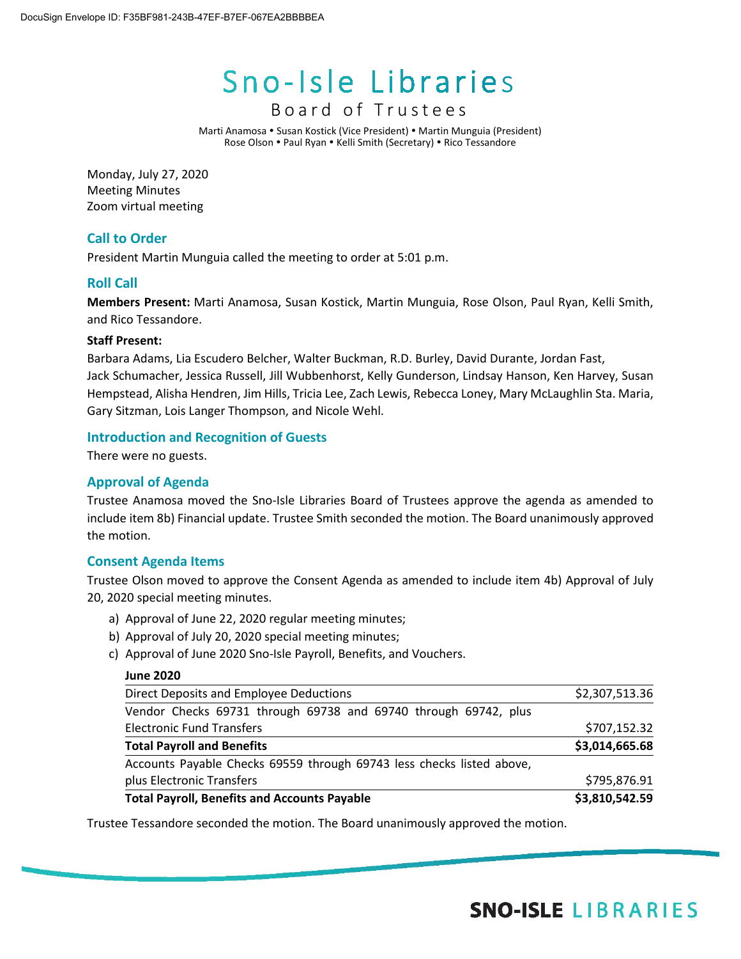# Sno-Isle Libraries

# Board of Trustees

Marti Anamosa • Susan Kostick (Vice President) • Martin Munguia (President) Rose Olson • Paul Ryan • Kelli Smith (Secretary) • Rico Tessandore

Monday, July 27, 2020 Meeting Minutes Zoom virtual meeting

# **Call to Order**

President Martin Munguia called the meeting to order at 5:01 p.m.

# **Roll Call**

**Members Present:** Marti Anamosa, Susan Kostick, Martin Munguia, Rose Olson, Paul Ryan, Kelli Smith, and Rico Tessandore.

# **Staff Present:**

Barbara Adams, Lia Escudero Belcher, Walter Buckman, R.D. Burley, David Durante, Jordan Fast, Jack Schumacher, Jessica Russell, Jill Wubbenhorst, Kelly Gunderson, Lindsay Hanson, Ken Harvey, Susan Hempstead, Alisha Hendren, Jim Hills, Tricia Lee, Zach Lewis, Rebecca Loney, Mary McLaughlin Sta. Maria, Gary Sitzman, Lois Langer Thompson, and Nicole Wehl.

# **Introduction and Recognition of Guests**

There were no guests.

# **Approval of Agenda**

Trustee Anamosa moved the Sno-Isle Libraries Board of Trustees approve the agenda as amended to include item 8b) Financial update. Trustee Smith seconded the motion. The Board unanimously approved the motion.

# **Consent Agenda Items**

Trustee Olson moved to approve the Consent Agenda as amended to include item 4b) Approval of July 20, 2020 special meeting minutes.

- a) Approval of June 22, 2020 regular meeting minutes;
- b) Approval of July 20, 2020 special meeting minutes;
- c) Approval of June 2020 Sno-Isle Payroll, Benefits, and Vouchers.

### **June 2020**

| <b>Total Payroll, Benefits and Accounts Payable</b>                   | \$3,810,542.59 |
|-----------------------------------------------------------------------|----------------|
| plus Electronic Transfers                                             | \$795,876.91   |
| Accounts Payable Checks 69559 through 69743 less checks listed above, |                |
| <b>Total Payroll and Benefits</b>                                     | \$3,014,665.68 |
| <b>Electronic Fund Transfers</b>                                      | \$707,152.32   |
| Vendor Checks 69731 through 69738 and 69740 through 69742, plus       |                |
| Direct Deposits and Employee Deductions                               | \$2,307,513.36 |

Trustee Tessandore seconded the motion. The Board unanimously approved the motion.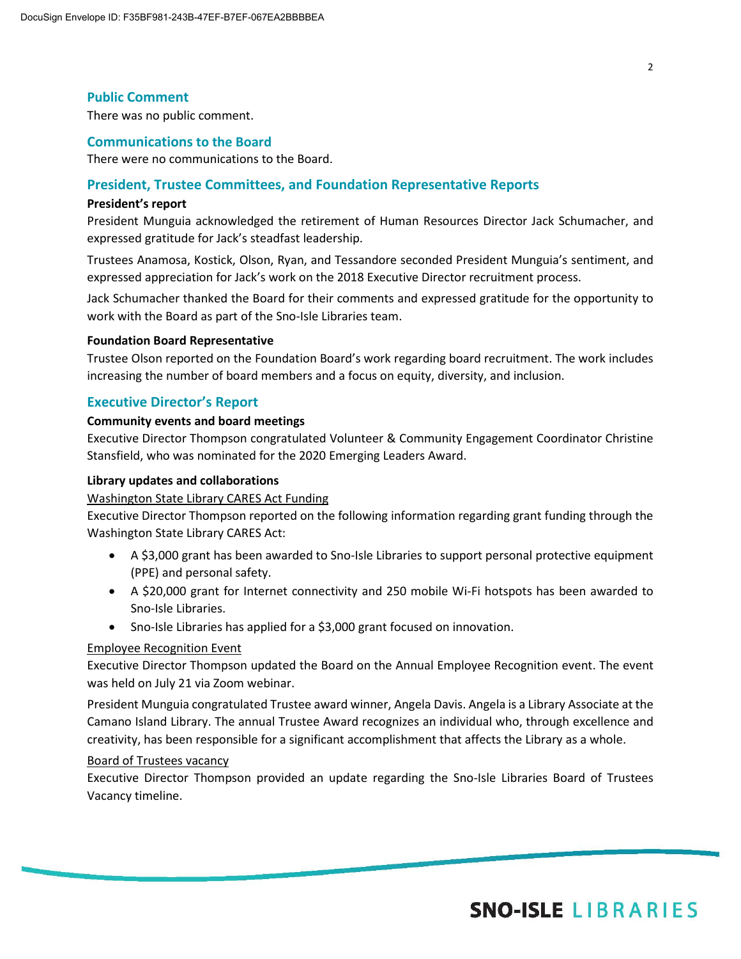# **Public Comment**

There was no public comment.

#### **Communications to the Board**

There were no communications to the Board.

#### **President, Trustee Committees, and Foundation Representative Reports**

#### **President's report**

President Munguia acknowledged the retirement of Human Resources Director Jack Schumacher, and expressed gratitude for Jack's steadfast leadership.

Trustees Anamosa, Kostick, Olson, Ryan, and Tessandore seconded President Munguia's sentiment, and expressed appreciation for Jack's work on the 2018 Executive Director recruitment process.

Jack Schumacher thanked the Board for their comments and expressed gratitude for the opportunity to work with the Board as part of the Sno-Isle Libraries team.

#### **Foundation Board Representative**

Trustee Olson reported on the Foundation Board's work regarding board recruitment. The work includes increasing the number of board members and a focus on equity, diversity, and inclusion.

### **Executive Director's Report**

#### **Community events and board meetings**

Executive Director Thompson congratulated Volunteer & Community Engagement Coordinator Christine Stansfield, who was nominated for the 2020 Emerging Leaders Award.

#### **Library updates and collaborations**

#### Washington State Library CARES Act Funding

Executive Director Thompson reported on the following information regarding grant funding through the Washington State Library CARES Act:

- A \$3,000 grant has been awarded to Sno-Isle Libraries to support personal protective equipment (PPE) and personal safety.
- A \$20,000 grant for Internet connectivity and 250 mobile Wi-Fi hotspots has been awarded to Sno-Isle Libraries.
- Sno-Isle Libraries has applied for a \$3,000 grant focused on innovation.

#### Employee Recognition Event

Executive Director Thompson updated the Board on the Annual Employee Recognition event. The event was held on July 21 via Zoom webinar.

President Munguia congratulated Trustee award winner, Angela Davis. Angela is a Library Associate at the Camano Island Library. The annual Trustee Award recognizes an individual who, through excellence and creativity, has been responsible for a significant accomplishment that affects the Library as a whole.

# Board of Trustees vacancy

Executive Director Thompson provided an update regarding the Sno-Isle Libraries Board of Trustees Vacancy timeline.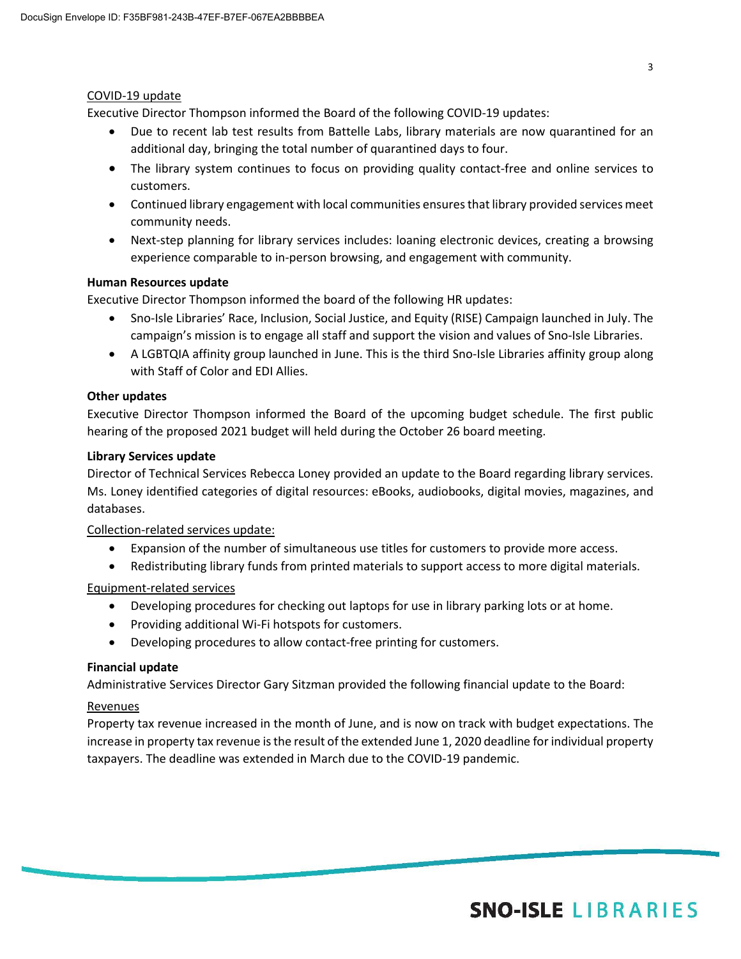# COVID-19 update

Executive Director Thompson informed the Board of the following COVID-19 updates:

- Due to recent lab test results from Battelle Labs, library materials are now quarantined for an additional day, bringing the total number of quarantined days to four.
- The library system continues to focus on providing quality contact-free and online services to customers.
- Continued library engagement with local communities ensures that library provided services meet community needs.
- Next-step planning for library services includes: loaning electronic devices, creating a browsing experience comparable to in-person browsing, and engagement with community.

# **Human Resources update**

Executive Director Thompson informed the board of the following HR updates:

- Sno-Isle Libraries' Race, Inclusion, Social Justice, and Equity (RISE) Campaign launched in July. The campaign's mission is to engage all staff and support the vision and values of Sno-Isle Libraries.
- A LGBTQIA affinity group launched in June. This is the third Sno-Isle Libraries affinity group along with Staff of Color and EDI Allies.

# **Other updates**

Executive Director Thompson informed the Board of the upcoming budget schedule. The first public hearing of the proposed 2021 budget will held during the October 26 board meeting.

# **Library Services update**

Director of Technical Services Rebecca Loney provided an update to the Board regarding library services. Ms. Loney identified categories of digital resources: eBooks, audiobooks, digital movies, magazines, and databases.

Collection-related services update:

- Expansion of the number of simultaneous use titles for customers to provide more access.
- Redistributing library funds from printed materials to support access to more digital materials.

# Equipment-related services

- Developing procedures for checking out laptops for use in library parking lots or at home.
- Providing additional Wi-Fi hotspots for customers.
- Developing procedures to allow contact-free printing for customers.

### **Financial update**

Administrative Services Director Gary Sitzman provided the following financial update to the Board:

### Revenues

Property tax revenue increased in the month of June, and is now on track with budget expectations. The increase in property tax revenue is the result of the extended June 1, 2020 deadline for individual property taxpayers. The deadline was extended in March due to the COVID-19 pandemic.

# **SNO-ISLE LIBRARIES**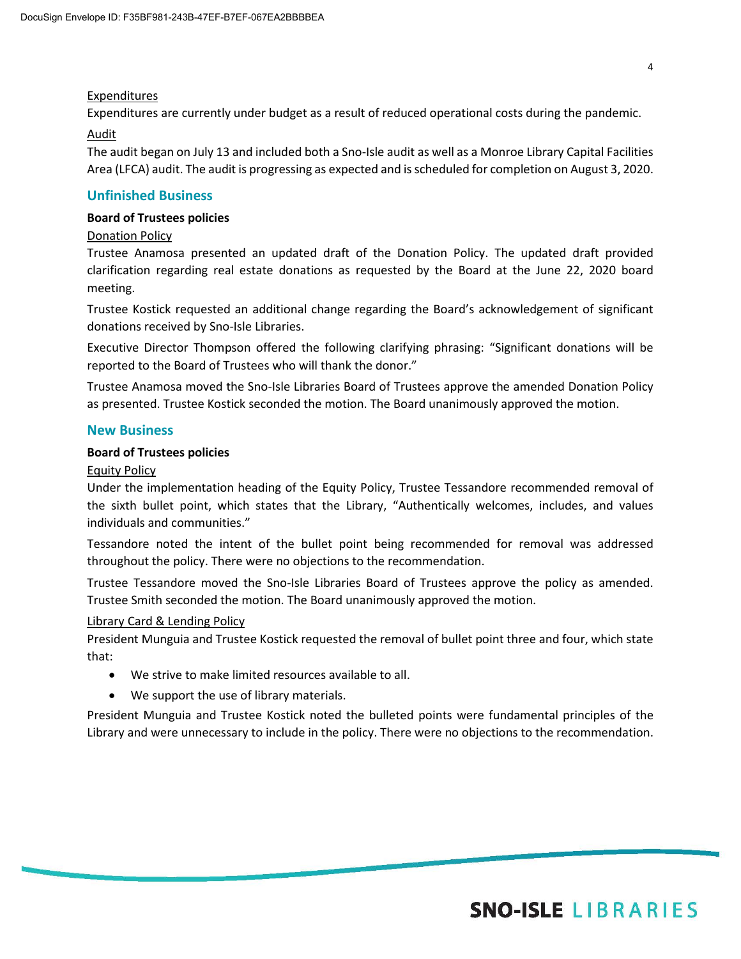# Expenditures

Expenditures are currently under budget as a result of reduced operational costs during the pandemic.

# Audit

The audit began on July 13 and included both a Sno-Isle audit as well as a Monroe Library Capital Facilities Area (LFCA) audit. The audit is progressing as expected and is scheduled for completion on August 3, 2020.

# **Unfinished Business**

# **Board of Trustees policies**

# Donation Policy

Trustee Anamosa presented an updated draft of the Donation Policy. The updated draft provided clarification regarding real estate donations as requested by the Board at the June 22, 2020 board meeting.

Trustee Kostick requested an additional change regarding the Board's acknowledgement of significant donations received by Sno-Isle Libraries.

Executive Director Thompson offered the following clarifying phrasing: "Significant donations will be reported to the Board of Trustees who will thank the donor."

Trustee Anamosa moved the Sno-Isle Libraries Board of Trustees approve the amended Donation Policy as presented. Trustee Kostick seconded the motion. The Board unanimously approved the motion.

# **New Business**

### **Board of Trustees policies**

### Equity Policy

Under the implementation heading of the Equity Policy, Trustee Tessandore recommended removal of the sixth bullet point, which states that the Library, "Authentically welcomes, includes, and values individuals and communities."

Tessandore noted the intent of the bullet point being recommended for removal was addressed throughout the policy. There were no objections to the recommendation.

Trustee Tessandore moved the Sno-Isle Libraries Board of Trustees approve the policy as amended. Trustee Smith seconded the motion. The Board unanimously approved the motion.

### Library Card & Lending Policy

President Munguia and Trustee Kostick requested the removal of bullet point three and four, which state that:

- We strive to make limited resources available to all.
- We support the use of library materials.

President Munguia and Trustee Kostick noted the bulleted points were fundamental principles of the Library and were unnecessary to include in the policy. There were no objections to the recommendation.

# **SNO-ISLE LIBRARIES**